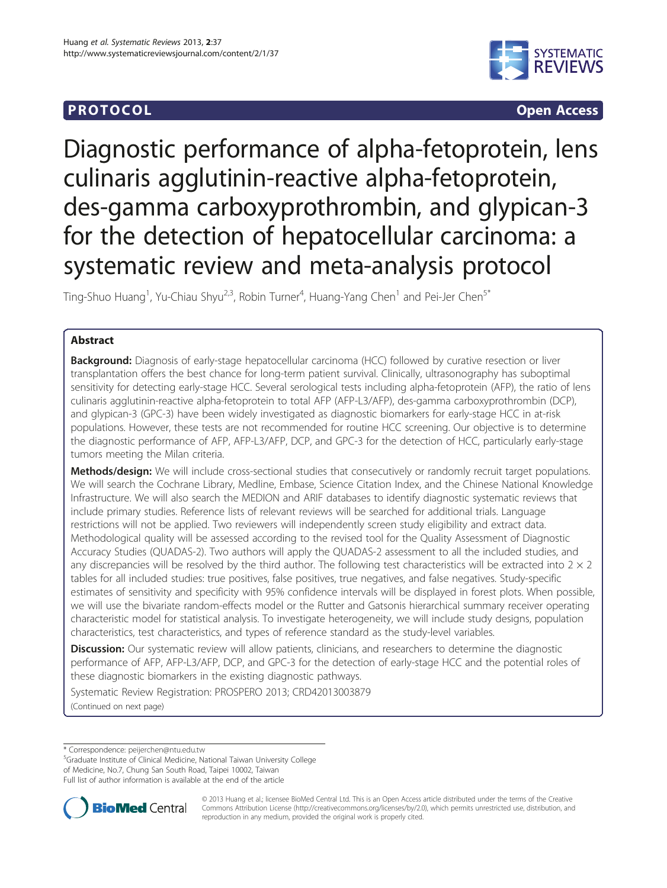## **PROTOCOL CONSUMING ACCESS**



# Diagnostic performance of alpha-fetoprotein, lens culinaris agglutinin-reactive alpha-fetoprotein, des-gamma carboxyprothrombin, and glypican-3 for the detection of hepatocellular carcinoma: a systematic review and meta-analysis protocol

Ting-Shuo Huang<sup>1</sup>, Yu-Chiau Shyu<sup>2,3</sup>, Robin Turner<sup>4</sup>, Huang-Yang Chen<sup>1</sup> and Pei-Jer Chen<sup>5\*</sup>

## Abstract

**Background:** Diagnosis of early-stage hepatocellular carcinoma (HCC) followed by curative resection or liver transplantation offers the best chance for long-term patient survival. Clinically, ultrasonography has suboptimal sensitivity for detecting early-stage HCC. Several serological tests including alpha-fetoprotein (AFP), the ratio of lens culinaris agglutinin-reactive alpha-fetoprotein to total AFP (AFP-L3/AFP), des-gamma carboxyprothrombin (DCP), and glypican-3 (GPC-3) have been widely investigated as diagnostic biomarkers for early-stage HCC in at-risk populations. However, these tests are not recommended for routine HCC screening. Our objective is to determine the diagnostic performance of AFP, AFP-L3/AFP, DCP, and GPC-3 for the detection of HCC, particularly early-stage tumors meeting the Milan criteria.

Methods/design: We will include cross-sectional studies that consecutively or randomly recruit target populations. We will search the Cochrane Library, Medline, Embase, Science Citation Index, and the Chinese National Knowledge Infrastructure. We will also search the MEDION and ARIF databases to identify diagnostic systematic reviews that include primary studies. Reference lists of relevant reviews will be searched for additional trials. Language restrictions will not be applied. Two reviewers will independently screen study eligibility and extract data. Methodological quality will be assessed according to the revised tool for the Quality Assessment of Diagnostic Accuracy Studies (QUADAS-2). Two authors will apply the QUADAS-2 assessment to all the included studies, and any discrepancies will be resolved by the third author. The following test characteristics will be extracted into  $2 \times 2$ tables for all included studies: true positives, false positives, true negatives, and false negatives. Study-specific estimates of sensitivity and specificity with 95% confidence intervals will be displayed in forest plots. When possible, we will use the bivariate random-effects model or the Rutter and Gatsonis hierarchical summary receiver operating characteristic model for statistical analysis. To investigate heterogeneity, we will include study designs, population characteristics, test characteristics, and types of reference standard as the study-level variables.

Discussion: Our systematic review will allow patients, clinicians, and researchers to determine the diagnostic performance of AFP, AFP-L3/AFP, DCP, and GPC-3 for the detection of early-stage HCC and the potential roles of these diagnostic biomarkers in the existing diagnostic pathways.

Systematic Review Registration: PROSPERO 2013; CRD42013003879

(Continued on next page)

\* Correspondence: [peijerchen@ntu.edu.tw](mailto:peijerchen@ntu.edu.tw) <sup>5</sup>

<sup>5</sup>Graduate Institute of Clinical Medicine, National Taiwan University College of Medicine, No.7, Chung San South Road, Taipei 10002, Taiwan

Full list of author information is available at the end of the article



© 2013 Huang et al.; licensee BioMed Central Ltd. This is an Open Access article distributed under the terms of the Creative Commons Attribution License [\(http://creativecommons.org/licenses/by/2.0\)](http://creativecommons.org/licenses/by/2.0), which permits unrestricted use, distribution, and reproduction in any medium, provided the original work is properly cited.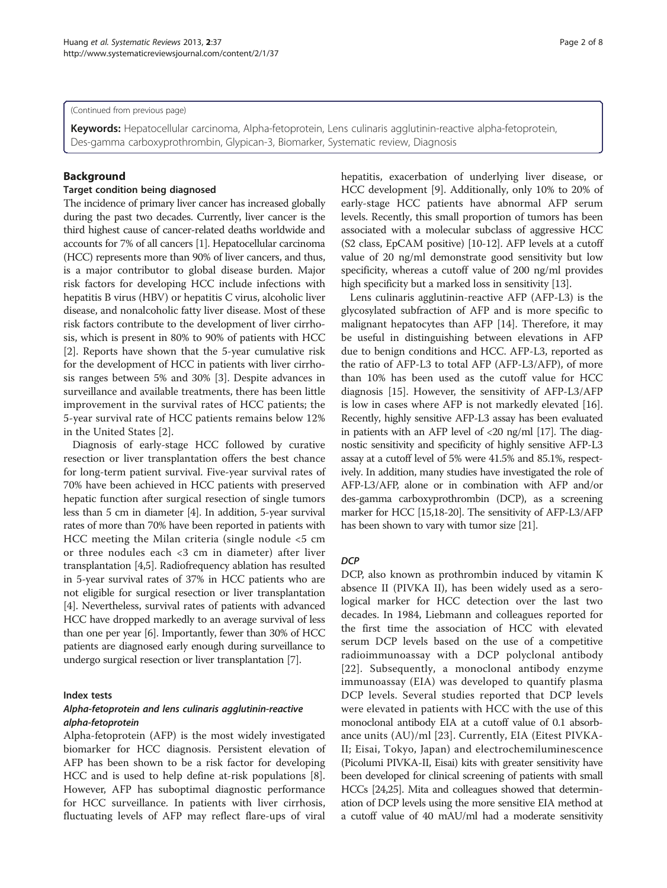#### (Continued from previous page)

Keywords: Hepatocellular carcinoma, Alpha-fetoprotein, Lens culinaris agglutinin-reactive alpha-fetoprotein, Des-gamma carboxyprothrombin, Glypican-3, Biomarker, Systematic review, Diagnosis

## Background

#### Target condition being diagnosed

The incidence of primary liver cancer has increased globally during the past two decades. Currently, liver cancer is the third highest cause of cancer-related deaths worldwide and accounts for 7% of all cancers [[1](#page-6-0)]. Hepatocellular carcinoma (HCC) represents more than 90% of liver cancers, and thus, is a major contributor to global disease burden. Major risk factors for developing HCC include infections with hepatitis B virus (HBV) or hepatitis C virus, alcoholic liver disease, and nonalcoholic fatty liver disease. Most of these risk factors contribute to the development of liver cirrhosis, which is present in 80% to 90% of patients with HCC [[2\]](#page-6-0). Reports have shown that the 5-year cumulative risk for the development of HCC in patients with liver cirrhosis ranges between 5% and 30% [[3\]](#page-6-0). Despite advances in surveillance and available treatments, there has been little improvement in the survival rates of HCC patients; the 5-year survival rate of HCC patients remains below 12% in the United States [[2\]](#page-6-0).

Diagnosis of early-stage HCC followed by curative resection or liver transplantation offers the best chance for long-term patient survival. Five-year survival rates of 70% have been achieved in HCC patients with preserved hepatic function after surgical resection of single tumors less than 5 cm in diameter [\[4\]](#page-6-0). In addition, 5-year survival rates of more than 70% have been reported in patients with HCC meeting the Milan criteria (single nodule <5 cm or three nodules each <3 cm in diameter) after liver transplantation [\[4,5\]](#page-6-0). Radiofrequency ablation has resulted in 5-year survival rates of 37% in HCC patients who are not eligible for surgical resection or liver transplantation [[4\]](#page-6-0). Nevertheless, survival rates of patients with advanced HCC have dropped markedly to an average survival of less than one per year [[6\]](#page-6-0). Importantly, fewer than 30% of HCC patients are diagnosed early enough during surveillance to undergo surgical resection or liver transplantation [\[7](#page-6-0)].

#### Index tests

## Alpha-fetoprotein and lens culinaris agglutinin-reactive alpha-fetoprotein

Alpha-fetoprotein (AFP) is the most widely investigated biomarker for HCC diagnosis. Persistent elevation of AFP has been shown to be a risk factor for developing HCC and is used to help define at-risk populations [\[8](#page-6-0)]. However, AFP has suboptimal diagnostic performance for HCC surveillance. In patients with liver cirrhosis, fluctuating levels of AFP may reflect flare-ups of viral hepatitis, exacerbation of underlying liver disease, or HCC development [\[9](#page-6-0)]. Additionally, only 10% to 20% of early-stage HCC patients have abnormal AFP serum levels. Recently, this small proportion of tumors has been associated with a molecular subclass of aggressive HCC (S2 class, EpCAM positive) [\[10-12\]](#page-6-0). AFP levels at a cutoff value of 20 ng/ml demonstrate good sensitivity but low specificity, whereas a cutoff value of 200 ng/ml provides high specificity but a marked loss in sensitivity [[13](#page-6-0)].

Lens culinaris agglutinin-reactive AFP (AFP-L3) is the glycosylated subfraction of AFP and is more specific to malignant hepatocytes than AFP [\[14\]](#page-6-0). Therefore, it may be useful in distinguishing between elevations in AFP due to benign conditions and HCC. AFP-L3, reported as the ratio of AFP-L3 to total AFP (AFP-L3/AFP), of more than 10% has been used as the cutoff value for HCC diagnosis [[15\]](#page-6-0). However, the sensitivity of AFP-L3/AFP is low in cases where AFP is not markedly elevated [\[16](#page-6-0)]. Recently, highly sensitive AFP-L3 assay has been evaluated in patients with an AFP level of <20 ng/ml [\[17\]](#page-6-0). The diagnostic sensitivity and specificity of highly sensitive AFP-L3 assay at a cutoff level of 5% were 41.5% and 85.1%, respectively. In addition, many studies have investigated the role of AFP-L3/AFP, alone or in combination with AFP and/or des-gamma carboxyprothrombin (DCP), as a screening marker for HCC [\[15,18-20\]](#page-6-0). The sensitivity of AFP-L3/AFP has been shown to vary with tumor size [\[21](#page-6-0)].

## **DCP**

DCP, also known as prothrombin induced by vitamin K absence II (PIVKA II), has been widely used as a serological marker for HCC detection over the last two decades. In 1984, Liebmann and colleagues reported for the first time the association of HCC with elevated serum DCP levels based on the use of a competitive radioimmunoassay with a DCP polyclonal antibody [[22](#page-6-0)]. Subsequently, a monoclonal antibody enzyme immunoassay (EIA) was developed to quantify plasma DCP levels. Several studies reported that DCP levels were elevated in patients with HCC with the use of this monoclonal antibody EIA at a cutoff value of 0.1 absorbance units (AU)/ml [\[23](#page-6-0)]. Currently, EIA (Eitest PIVKA-II; Eisai, Tokyo, Japan) and electrochemiluminescence (Picolumi PIVKA-II, Eisai) kits with greater sensitivity have been developed for clinical screening of patients with small HCCs [\[24,](#page-6-0)[25\]](#page-7-0). Mita and colleagues showed that determination of DCP levels using the more sensitive EIA method at a cutoff value of 40 mAU/ml had a moderate sensitivity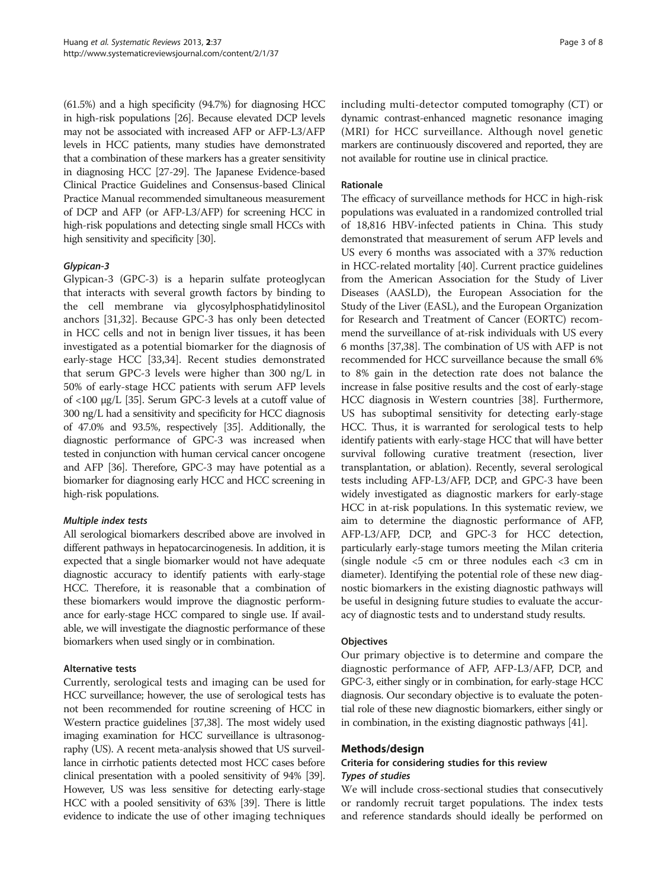(61.5%) and a high specificity (94.7%) for diagnosing HCC in high-risk populations [[26\]](#page-7-0). Because elevated DCP levels may not be associated with increased AFP or AFP-L3/AFP levels in HCC patients, many studies have demonstrated that a combination of these markers has a greater sensitivity in diagnosing HCC [[27](#page-7-0)-[29](#page-7-0)]. The Japanese Evidence-based Clinical Practice Guidelines and Consensus-based Clinical Practice Manual recommended simultaneous measurement of DCP and AFP (or AFP-L3/AFP) for screening HCC in high-risk populations and detecting single small HCCs with high sensitivity and specificity [\[30\]](#page-7-0).

## Glypican-3

Glypican-3 (GPC-3) is a heparin sulfate proteoglycan that interacts with several growth factors by binding to the cell membrane via glycosylphosphatidylinositol anchors [[31,32](#page-7-0)]. Because GPC-3 has only been detected in HCC cells and not in benign liver tissues, it has been investigated as a potential biomarker for the diagnosis of early-stage HCC [[33,34\]](#page-7-0). Recent studies demonstrated that serum GPC-3 levels were higher than 300 ng/L in 50% of early-stage HCC patients with serum AFP levels of <100 μg/L [\[35\]](#page-7-0). Serum GPC-3 levels at a cutoff value of 300 ng/L had a sensitivity and specificity for HCC diagnosis of 47.0% and 93.5%, respectively [[35](#page-7-0)]. Additionally, the diagnostic performance of GPC-3 was increased when tested in conjunction with human cervical cancer oncogene and AFP [\[36\]](#page-7-0). Therefore, GPC-3 may have potential as a biomarker for diagnosing early HCC and HCC screening in high-risk populations.

## Multiple index tests

All serological biomarkers described above are involved in different pathways in hepatocarcinogenesis. In addition, it is expected that a single biomarker would not have adequate diagnostic accuracy to identify patients with early-stage HCC. Therefore, it is reasonable that a combination of these biomarkers would improve the diagnostic performance for early-stage HCC compared to single use. If available, we will investigate the diagnostic performance of these biomarkers when used singly or in combination.

## Alternative tests

Currently, serological tests and imaging can be used for HCC surveillance; however, the use of serological tests has not been recommended for routine screening of HCC in Western practice guidelines [\[37,38\]](#page-7-0). The most widely used imaging examination for HCC surveillance is ultrasonography (US). A recent meta-analysis showed that US surveillance in cirrhotic patients detected most HCC cases before clinical presentation with a pooled sensitivity of 94% [\[39](#page-7-0)]. However, US was less sensitive for detecting early-stage HCC with a pooled sensitivity of 63% [[39\]](#page-7-0). There is little evidence to indicate the use of other imaging techniques including multi-detector computed tomography (CT) or dynamic contrast-enhanced magnetic resonance imaging (MRI) for HCC surveillance. Although novel genetic markers are continuously discovered and reported, they are not available for routine use in clinical practice.

## Rationale

The efficacy of surveillance methods for HCC in high-risk populations was evaluated in a randomized controlled trial of 18,816 HBV-infected patients in China. This study demonstrated that measurement of serum AFP levels and US every 6 months was associated with a 37% reduction in HCC-related mortality [[40\]](#page-7-0). Current practice guidelines from the American Association for the Study of Liver Diseases (AASLD), the European Association for the Study of the Liver (EASL), and the European Organization for Research and Treatment of Cancer (EORTC) recommend the surveillance of at-risk individuals with US every 6 months [[37,38](#page-7-0)]. The combination of US with AFP is not recommended for HCC surveillance because the small 6% to 8% gain in the detection rate does not balance the increase in false positive results and the cost of early-stage HCC diagnosis in Western countries [\[38\]](#page-7-0). Furthermore, US has suboptimal sensitivity for detecting early-stage HCC. Thus, it is warranted for serological tests to help identify patients with early-stage HCC that will have better survival following curative treatment (resection, liver transplantation, or ablation). Recently, several serological tests including AFP-L3/AFP, DCP, and GPC-3 have been widely investigated as diagnostic markers for early-stage HCC in at-risk populations. In this systematic review, we aim to determine the diagnostic performance of AFP, AFP-L3/AFP, DCP, and GPC-3 for HCC detection, particularly early-stage tumors meeting the Milan criteria (single nodule <5 cm or three nodules each <3 cm in diameter). Identifying the potential role of these new diagnostic biomarkers in the existing diagnostic pathways will be useful in designing future studies to evaluate the accuracy of diagnostic tests and to understand study results.

### **Objectives**

Our primary objective is to determine and compare the diagnostic performance of AFP, AFP-L3/AFP, DCP, and GPC-3, either singly or in combination, for early-stage HCC diagnosis. Our secondary objective is to evaluate the potential role of these new diagnostic biomarkers, either singly or in combination, in the existing diagnostic pathways [\[41\]](#page-7-0).

### Methods/design

## Criteria for considering studies for this review Types of studies

We will include cross-sectional studies that consecutively or randomly recruit target populations. The index tests and reference standards should ideally be performed on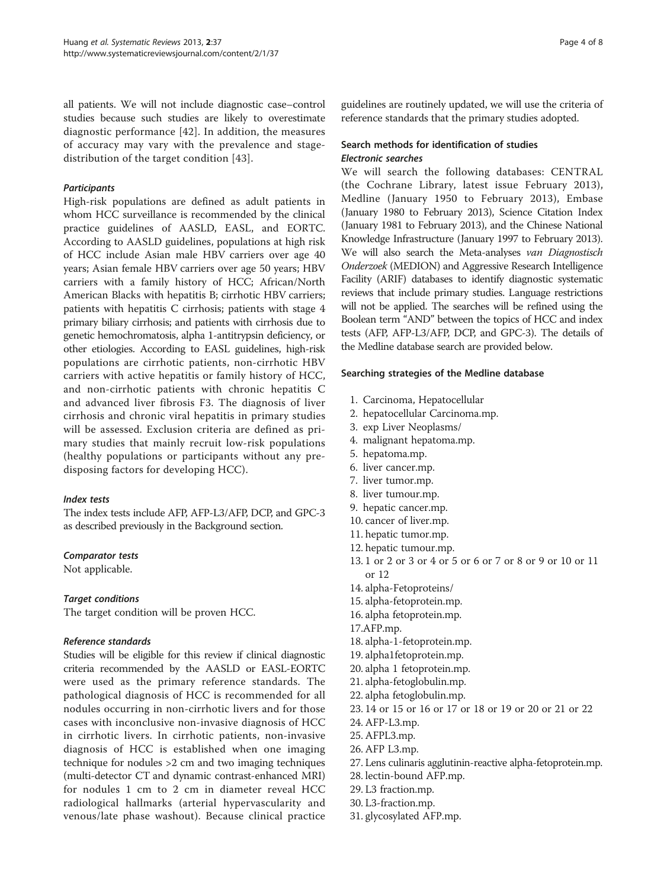all patients. We will not include diagnostic case–control studies because such studies are likely to overestimate diagnostic performance [[42](#page-7-0)]. In addition, the measures of accuracy may vary with the prevalence and stagedistribution of the target condition [\[43\]](#page-7-0).

## **Participants**

High-risk populations are defined as adult patients in whom HCC surveillance is recommended by the clinical practice guidelines of AASLD, EASL, and EORTC. According to AASLD guidelines, populations at high risk of HCC include Asian male HBV carriers over age 40 years; Asian female HBV carriers over age 50 years; HBV carriers with a family history of HCC; African/North American Blacks with hepatitis B; cirrhotic HBV carriers; patients with hepatitis C cirrhosis; patients with stage 4 primary biliary cirrhosis; and patients with cirrhosis due to genetic hemochromatosis, alpha 1-antitrypsin deficiency, or other etiologies. According to EASL guidelines, high-risk populations are cirrhotic patients, non-cirrhotic HBV carriers with active hepatitis or family history of HCC, and non-cirrhotic patients with chronic hepatitis C and advanced liver fibrosis F3. The diagnosis of liver cirrhosis and chronic viral hepatitis in primary studies will be assessed. Exclusion criteria are defined as primary studies that mainly recruit low-risk populations (healthy populations or participants without any predisposing factors for developing HCC).

### Index tests

The index tests include AFP, AFP-L3/AFP, DCP, and GPC-3 as described previously in the Background section.

### Comparator tests

Not applicable.

### Target conditions

The target condition will be proven HCC.

#### Reference standards

Studies will be eligible for this review if clinical diagnostic criteria recommended by the AASLD or EASL-EORTC were used as the primary reference standards. The pathological diagnosis of HCC is recommended for all nodules occurring in non-cirrhotic livers and for those cases with inconclusive non-invasive diagnosis of HCC in cirrhotic livers. In cirrhotic patients, non-invasive diagnosis of HCC is established when one imaging technique for nodules >2 cm and two imaging techniques (multi-detector CT and dynamic contrast-enhanced MRI) for nodules 1 cm to 2 cm in diameter reveal HCC radiological hallmarks (arterial hypervascularity and venous/late phase washout). Because clinical practice guidelines are routinely updated, we will use the criteria of reference standards that the primary studies adopted.

## Search methods for identification of studies Electronic searches

We will search the following databases: CENTRAL (the Cochrane Library, latest issue February 2013), Medline (January 1950 to February 2013), Embase (January 1980 to February 2013), Science Citation Index (January 1981 to February 2013), and the Chinese National Knowledge Infrastructure (January 1997 to February 2013). We will also search the Meta-analyses van Diagnostisch Onderzoek (MEDION) and Aggressive Research Intelligence Facility (ARIF) databases to identify diagnostic systematic reviews that include primary studies. Language restrictions will not be applied. The searches will be refined using the Boolean term "AND" between the topics of HCC and index tests (AFP, AFP-L3/AFP, DCP, and GPC-3). The details of the Medline database search are provided below.

#### Searching strategies of the Medline database

- 1. Carcinoma, Hepatocellular
- 2. hepatocellular Carcinoma.mp.
- 3. exp Liver Neoplasms/
- 4. malignant hepatoma.mp.
- 5. hepatoma.mp.
- 6. liver cancer.mp.
- 7. liver tumor.mp.
- 8. liver tumour.mp.
- 9. hepatic cancer.mp.
- 10. cancer of liver.mp.
- 11. hepatic tumor.mp.
- 12. hepatic tumour.mp.
- 13. 1 or 2 or 3 or 4 or 5 or 6 or 7 or 8 or 9 or 10 or 11 or 12
- 14. alpha-Fetoproteins/
- 15. alpha-fetoprotein.mp.
- 16. alpha fetoprotein.mp.
- 17.AFP.mp.
- 18. alpha-1-fetoprotein.mp.
- 19. alpha1fetoprotein.mp.
- 20. alpha 1 fetoprotein.mp.
- 21. alpha-fetoglobulin.mp.
- 22. alpha fetoglobulin.mp.
- 23. 14 or 15 or 16 or 17 or 18 or 19 or 20 or 21 or 22
- 24. AFP-L3.mp.
- 25. AFPL3.mp.
- 26. AFP L3.mp.
- 27. Lens culinaris agglutinin-reactive alpha-fetoprotein.mp.
- 28. lectin-bound AFP.mp.
- 29. L3 fraction.mp.
- 30. L3-fraction.mp.
- 31. glycosylated AFP.mp.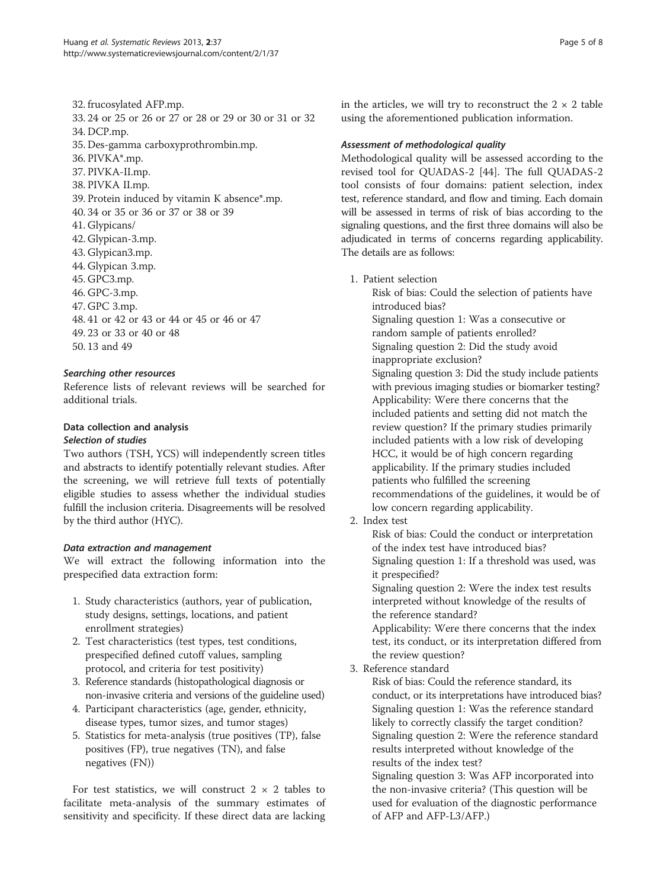32. frucosylated AFP.mp. 33. 24 or 25 or 26 or 27 or 28 or 29 or 30 or 31 or 32 34. DCP.mp. 35. Des-gamma carboxyprothrombin.mp. 36. PIVKA\*.mp. 37. PIVKA-II.mp. 38. PIVKA II.mp. 39. Protein induced by vitamin K absence\*.mp. 40. 34 or 35 or 36 or 37 or 38 or 39 41. Glypicans/ 42. Glypican-3.mp. 43. Glypican3.mp. 44. Glypican 3.mp. 45. GPC3.mp. 46. GPC-3.mp. 47. GPC 3.mp. 48. 41 or 42 or 43 or 44 or 45 or 46 or 47 49. 23 or 33 or 40 or 48 50. 13 and 49

## Searching other resources

Reference lists of relevant reviews will be searched for additional trials.

## Data collection and analysis

## Selection of studies

Two authors (TSH, YCS) will independently screen titles and abstracts to identify potentially relevant studies. After the screening, we will retrieve full texts of potentially eligible studies to assess whether the individual studies fulfill the inclusion criteria. Disagreements will be resolved by the third author (HYC).

## Data extraction and management

We will extract the following information into the prespecified data extraction form:

- 1. Study characteristics (authors, year of publication, study designs, settings, locations, and patient enrollment strategies)
- 2. Test characteristics (test types, test conditions, prespecified defined cutoff values, sampling protocol, and criteria for test positivity)
- 3. Reference standards (histopathological diagnosis or non-invasive criteria and versions of the guideline used)
- 4. Participant characteristics (age, gender, ethnicity, disease types, tumor sizes, and tumor stages)
- 5. Statistics for meta-analysis (true positives (TP), false positives (FP), true negatives (TN), and false negatives (FN))

For test statistics, we will construct  $2 \times 2$  tables to facilitate meta-analysis of the summary estimates of sensitivity and specificity. If these direct data are lacking

in the articles, we will try to reconstruct the  $2 \times 2$  table using the aforementioned publication information.

## Assessment of methodological quality

Methodological quality will be assessed according to the revised tool for QUADAS-2 [\[44](#page-7-0)]. The full QUADAS-2 tool consists of four domains: patient selection, index test, reference standard, and flow and timing. Each domain will be assessed in terms of risk of bias according to the signaling questions, and the first three domains will also be adjudicated in terms of concerns regarding applicability. The details are as follows:

1. Patient selection

Risk of bias: Could the selection of patients have introduced bias? Signaling question 1: Was a consecutive or random sample of patients enrolled? Signaling question 2: Did the study avoid inappropriate exclusion? Signaling question 3: Did the study include patients with previous imaging studies or biomarker testing? Applicability: Were there concerns that the included patients and setting did not match the review question? If the primary studies primarily included patients with a low risk of developing HCC, it would be of high concern regarding applicability. If the primary studies included patients who fulfilled the screening recommendations of the guidelines, it would be of low concern regarding applicability.

2. Index test

Risk of bias: Could the conduct or interpretation of the index test have introduced bias? Signaling question 1: If a threshold was used, was it prespecified?

Signaling question 2: Were the index test results interpreted without knowledge of the results of the reference standard?

Applicability: Were there concerns that the index test, its conduct, or its interpretation differed from the review question?

3. Reference standard

Risk of bias: Could the reference standard, its conduct, or its interpretations have introduced bias? Signaling question 1: Was the reference standard likely to correctly classify the target condition? Signaling question 2: Were the reference standard results interpreted without knowledge of the results of the index test?

Signaling question 3: Was AFP incorporated into the non-invasive criteria? (This question will be used for evaluation of the diagnostic performance of AFP and AFP-L3/AFP.)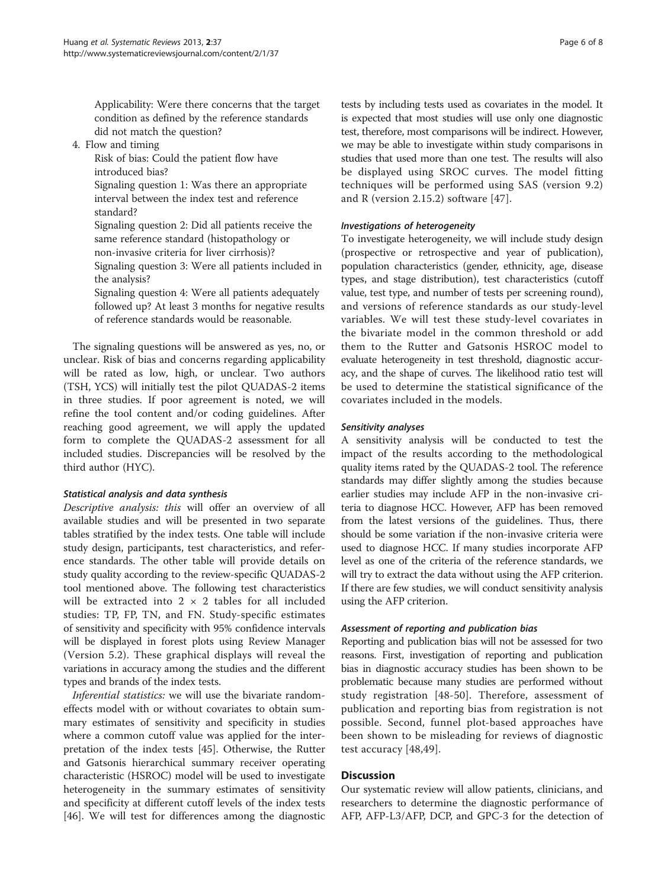Applicability: Were there concerns that the target condition as defined by the reference standards did not match the question?

4. Flow and timing

Risk of bias: Could the patient flow have introduced bias? Signaling question 1: Was there an appropriate interval between the index test and reference standard? Signaling question 2: Did all patients receive the

same reference standard (histopathology or non-invasive criteria for liver cirrhosis)? Signaling question 3: Were all patients included in the analysis?

Signaling question 4: Were all patients adequately followed up? At least 3 months for negative results of reference standards would be reasonable.

The signaling questions will be answered as yes, no, or unclear. Risk of bias and concerns regarding applicability will be rated as low, high, or unclear. Two authors (TSH, YCS) will initially test the pilot QUADAS-2 items in three studies. If poor agreement is noted, we will refine the tool content and/or coding guidelines. After reaching good agreement, we will apply the updated form to complete the QUADAS-2 assessment for all included studies. Discrepancies will be resolved by the third author (HYC).

## Statistical analysis and data synthesis

Descriptive analysis: this will offer an overview of all available studies and will be presented in two separate tables stratified by the index tests. One table will include study design, participants, test characteristics, and reference standards. The other table will provide details on study quality according to the review-specific QUADAS-2 tool mentioned above. The following test characteristics will be extracted into  $2 \times 2$  tables for all included studies: TP, FP, TN, and FN. Study-specific estimates of sensitivity and specificity with 95% confidence intervals will be displayed in forest plots using Review Manager (Version 5.2). These graphical displays will reveal the variations in accuracy among the studies and the different types and brands of the index tests.

Inferential statistics: we will use the bivariate randomeffects model with or without covariates to obtain summary estimates of sensitivity and specificity in studies where a common cutoff value was applied for the interpretation of the index tests [[45\]](#page-7-0). Otherwise, the Rutter and Gatsonis hierarchical summary receiver operating characteristic (HSROC) model will be used to investigate heterogeneity in the summary estimates of sensitivity and specificity at different cutoff levels of the index tests [[46\]](#page-7-0). We will test for differences among the diagnostic tests by including tests used as covariates in the model. It is expected that most studies will use only one diagnostic test, therefore, most comparisons will be indirect. However, we may be able to investigate within study comparisons in studies that used more than one test. The results will also be displayed using SROC curves. The model fitting techniques will be performed using SAS (version 9.2) and R (version 2.15.2) software [\[47\]](#page-7-0).

## Investigations of heterogeneity

To investigate heterogeneity, we will include study design (prospective or retrospective and year of publication), population characteristics (gender, ethnicity, age, disease types, and stage distribution), test characteristics (cutoff value, test type, and number of tests per screening round), and versions of reference standards as our study-level variables. We will test these study-level covariates in the bivariate model in the common threshold or add them to the Rutter and Gatsonis HSROC model to evaluate heterogeneity in test threshold, diagnostic accuracy, and the shape of curves. The likelihood ratio test will be used to determine the statistical significance of the covariates included in the models.

## Sensitivity analyses

A sensitivity analysis will be conducted to test the impact of the results according to the methodological quality items rated by the QUADAS-2 tool. The reference standards may differ slightly among the studies because earlier studies may include AFP in the non-invasive criteria to diagnose HCC. However, AFP has been removed from the latest versions of the guidelines. Thus, there should be some variation if the non-invasive criteria were used to diagnose HCC. If many studies incorporate AFP level as one of the criteria of the reference standards, we will try to extract the data without using the AFP criterion. If there are few studies, we will conduct sensitivity analysis using the AFP criterion.

## Assessment of reporting and publication bias

Reporting and publication bias will not be assessed for two reasons. First, investigation of reporting and publication bias in diagnostic accuracy studies has been shown to be problematic because many studies are performed without study registration [[48-50\]](#page-7-0). Therefore, assessment of publication and reporting bias from registration is not possible. Second, funnel plot-based approaches have been shown to be misleading for reviews of diagnostic test accuracy [[48,49](#page-7-0)].

## **Discussion**

Our systematic review will allow patients, clinicians, and researchers to determine the diagnostic performance of AFP, AFP-L3/AFP, DCP, and GPC-3 for the detection of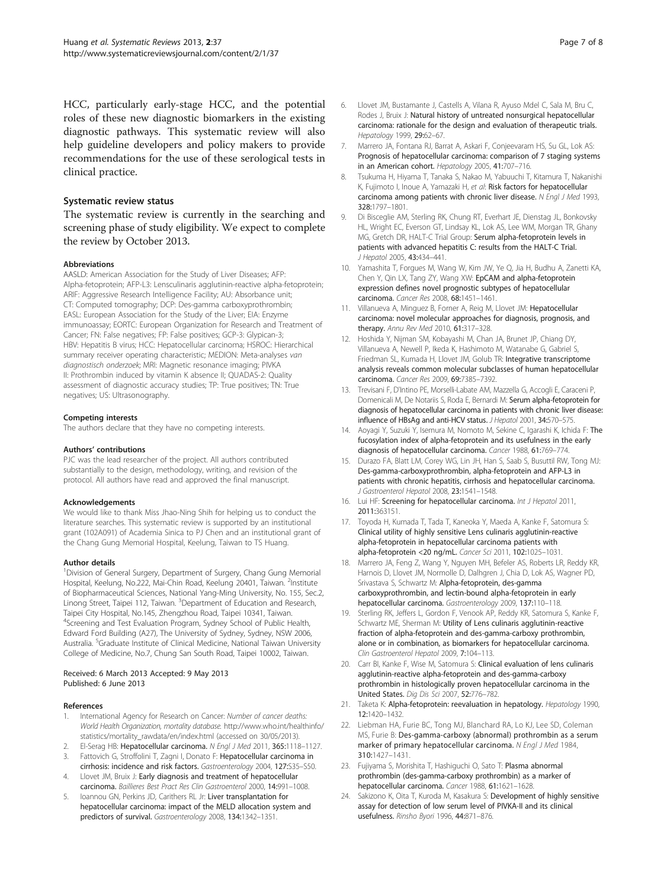<span id="page-6-0"></span>HCC, particularly early-stage HCC, and the potential roles of these new diagnostic biomarkers in the existing diagnostic pathways. This systematic review will also help guideline developers and policy makers to provide recommendations for the use of these serological tests in clinical practice.

## Systematic review status

The systematic review is currently in the searching and screening phase of study eligibility. We expect to complete the review by October 2013.

#### Abbreviations

AASLD: American Association for the Study of Liver Diseases; AFP: Alpha-fetoprotein; AFP-L3: Lensculinaris agglutinin-reactive alpha-fetoprotein; ARIF: Aggressive Research Intelligence Facility; AU: Absorbance unit; CT: Computed tomography; DCP: Des-gamma carboxyprothrombin; EASL: European Association for the Study of the Liver; EIA: Enzyme immunoassay; EORTC: European Organization for Research and Treatment of Cancer; FN: False negatives; FP: False positives; GCP-3: Glypican-3; HBV: Hepatitis B virus; HCC: Hepatocellular carcinoma; HSROC: Hierarchical summary receiver operating characteristic; MEDION: Meta-analyses van diagnostisch onderzoek; MRI: Magnetic resonance imaging; PIVKA II: Prothrombin induced by vitamin K absence II; QUADAS-2: Quality assessment of diagnostic accuracy studies; TP: True positives; TN: True negatives; US: Ultrasonography.

#### Competing interests

The authors declare that they have no competing interests.

#### Authors' contributions

PJC was the lead researcher of the project. All authors contributed substantially to the design, methodology, writing, and revision of the protocol. All authors have read and approved the final manuscript.

#### Acknowledgements

We would like to thank Miss Jhao-Ning Shih for helping us to conduct the literature searches. This systematic review is supported by an institutional grant (102A091) of Academia Sinica to PJ Chen and an institutional grant of the Chang Gung Memorial Hospital, Keelung, Taiwan to TS Huang.

#### Author details

<sup>1</sup> Division of General Surgery, Department of Surgery, Chang Gung Memorial Hospital, Keelung, No.222, Mai-Chin Road, Keelung 20401, Taiwan. <sup>2</sup>Institute of Biopharmaceutical Sciences, National Yang-Ming University, No. 155, Sec.2, Linong Street, Taipei 112, Taiwan. <sup>3</sup>Department of Education and Research, Taipei City Hospital, No.145, Zhengzhou Road, Taipei 10341, Taiwan. 4 Screening and Test Evaluation Program, Sydney School of Public Health, Edward Ford Building (A27), The University of Sydney, Sydney, NSW 2006, Australia. <sup>5</sup>Graduate Institute of Clinical Medicine, National Taiwan University College of Medicine, No.7, Chung San South Road, Taipei 10002, Taiwan.

#### Received: 6 March 2013 Accepted: 9 May 2013 Published: 6 June 2013

#### References

- 1. International Agency for Research on Cancer: Number of cancer deaths: World Health Organization, mortality database. [http://www.who.int/healthinfo/](http://www.who.int/healthinfo/statistics/mortality_rawdata/en/index.html) [statistics/mortality\\_rawdata/en/index.html](http://www.who.int/healthinfo/statistics/mortality_rawdata/en/index.html) (accessed on 30/05/2013).
- 2. El-Serag HB: Hepatocellular carcinoma. N Engl J Med 2011, 365:1118-1127.
- 3. Fattovich G, Stroffolini T, Zagni I, Donato F: Hepatocellular carcinoma in cirrhosis: incidence and risk factors. Gastroenterology 2004, 127:S35–S50.
- 4. Llovet JM, Bruix J: Early diagnosis and treatment of hepatocellular carcinoma. Baillieres Best Pract Res Clin Gastroenterol 2000, 14:991–1008.
- 5. Ioannou GN, Perkins JD, Carithers RL Jr: Liver transplantation for hepatocellular carcinoma: impact of the MELD allocation system and predictors of survival. Gastroenterology 2008, 134:1342–1351.
- 6. Llovet JM, Bustamante J, Castells A, Vilana R, Ayuso Mdel C, Sala M, Bru C, Rodes J, Bruix J: Natural history of untreated nonsurgical hepatocellular carcinoma: rationale for the design and evaluation of therapeutic trials. Hepatology 1999, 29:62–67.
- 7. Marrero JA, Fontana RJ, Barrat A, Askari F, Conjeevaram HS, Su GL, Lok AS: Prognosis of hepatocellular carcinoma: comparison of 7 staging systems in an American cohort. Hepatology 2005, 41:707–716.
- 8. Tsukuma H, Hiyama T, Tanaka S, Nakao M, Yabuuchi T, Kitamura T, Nakanishi K, Fujimoto I, Inoue A, Yamazaki H, et al: Risk factors for hepatocellular carcinoma among patients with chronic liver disease. N Engl J Med 1993, 328:1797–1801.
- 9. Di Bisceglie AM, Sterling RK, Chung RT, Everhart JE, Dienstag JL, Bonkovsky HL, Wright EC, Everson GT, Lindsay KL, Lok AS, Lee WM, Morgan TR, Ghany MG, Gretch DR, HALT-C Trial Group: Serum alpha-fetoprotein levels in patients with advanced hepatitis C: results from the HALT-C Trial. J Hepatol 2005, 43:434–441.
- 10. Yamashita T, Forgues M, Wang W, Kim JW, Ye Q, Jia H, Budhu A, Zanetti KA, Chen Y, Qin LX, Tang ZY, Wang XW: EpCAM and alpha-fetoprotein expression defines novel prognostic subtypes of hepatocellular carcinoma. Cancer Res 2008, 68:1451–1461.
- 11. Villanueva A, Minguez B, Forner A, Reig M, Llovet JM: Hepatocellular carcinoma: novel molecular approaches for diagnosis, prognosis, and therapy. Annu Rev Med 2010, 61:317–328.
- 12. Hoshida Y, Nijman SM, Kobayashi M, Chan JA, Brunet JP, Chiang DY, Villanueva A, Newell P, Ikeda K, Hashimoto M, Watanabe G, Gabriel S, Friedman SL, Kumada H, Llovet JM, Golub TR: Integrative transcriptome analysis reveals common molecular subclasses of human hepatocellular carcinoma. Cancer Res 2009, 69:7385–7392.
- 13. Trevisani F, D'Intino PE, Morselli-Labate AM, Mazzella G, Accogli E, Caraceni P, Domenicali M, De Notariis S, Roda E, Bernardi M: Serum alpha-fetoprotein for diagnosis of hepatocellular carcinoma in patients with chronic liver disease: influence of HBsAg and anti-HCV status. J Hepatol 2001, 34:570–575.
- 14. Aoyagi Y, Suzuki Y, Isemura M, Nomoto M, Sekine C, Igarashi K, Ichida F: The fucosylation index of alpha-fetoprotein and its usefulness in the early diagnosis of hepatocellular carcinoma. Cancer 1988, 61:769–774.
- 15. Durazo FA, Blatt LM, Corey WG, Lin JH, Han S, Saab S, Busuttil RW, Tong MJ: Des-gamma-carboxyprothrombin, alpha-fetoprotein and AFP-L3 in patients with chronic hepatitis, cirrhosis and hepatocellular carcinoma. J Gastroenterol Hepatol 2008, 23:1541-1548.
- 16. Lui HF: Screening for hepatocellular carcinoma. Int J Hepatol 2011, 2011:363151.
- 17. Toyoda H, Kumada T, Tada T, Kaneoka Y, Maeda A, Kanke F, Satomura S: Clinical utility of highly sensitive Lens culinaris agglutinin-reactive alpha-fetoprotein in hepatocellular carcinoma patients with alpha-fetoprotein <20 ng/mL. Cancer Sci 2011, 102:1025–1031.
- 18. Marrero JA, Feng Z, Wang Y, Nguyen MH, Befeler AS, Roberts LR, Reddy KR, Harnois D, Llovet JM, Normolle D, Dalhgren J, Chia D, Lok AS, Wagner PD, Srivastava S, Schwartz M: Alpha-fetoprotein, des-gamma carboxyprothrombin, and lectin-bound alpha-fetoprotein in early hepatocellular carcinoma. Gastroenterology 2009, 137:110–118.
- 19. Sterling RK, Jeffers L, Gordon F, Venook AP, Reddy KR, Satomura S, Kanke F, Schwartz ME, Sherman M: Utility of Lens culinaris agglutinin-reactive fraction of alpha-fetoprotein and des-gamma-carboxy prothrombin, alone or in combination, as biomarkers for hepatocellular carcinoma. Clin Gastroenterol Hepatol 2009, 7:104–113.
- 20. Carr BJ, Kanke F, Wise M, Satomura S: Clinical evaluation of lens culinaris agglutinin-reactive alpha-fetoprotein and des-gamma-carboxy prothrombin in histologically proven hepatocellular carcinoma in the United States. Dig Dis Sci 2007, 52:776–782.
- 21. Taketa K: Alpha-fetoprotein: reevaluation in hepatology. Hepatology 1990, 12:1420–1432.
- 22. Liebman HA, Furie BC, Tong MJ, Blanchard RA, Lo KJ, Lee SD, Coleman MS, Furie B: Des-gamma-carboxy (abnormal) prothrombin as a serum marker of primary hepatocellular carcinoma. N Engl J Med 1984, 310:1427–1431.
- 23. Fujiyama S, Morishita T, Hashiguchi O, Sato T: Plasma abnormal prothrombin (des-gamma-carboxy prothrombin) as a marker of hepatocellular carcinoma. Cancer 1988, 61:1621–1628.
- 24. Sakizono K, Oita T, Kuroda M, Kasakura S: Development of highly sensitive assay for detection of low serum level of PIVKA-II and its clinical usefulness. Rinsho Byori 1996, 44:871-876.